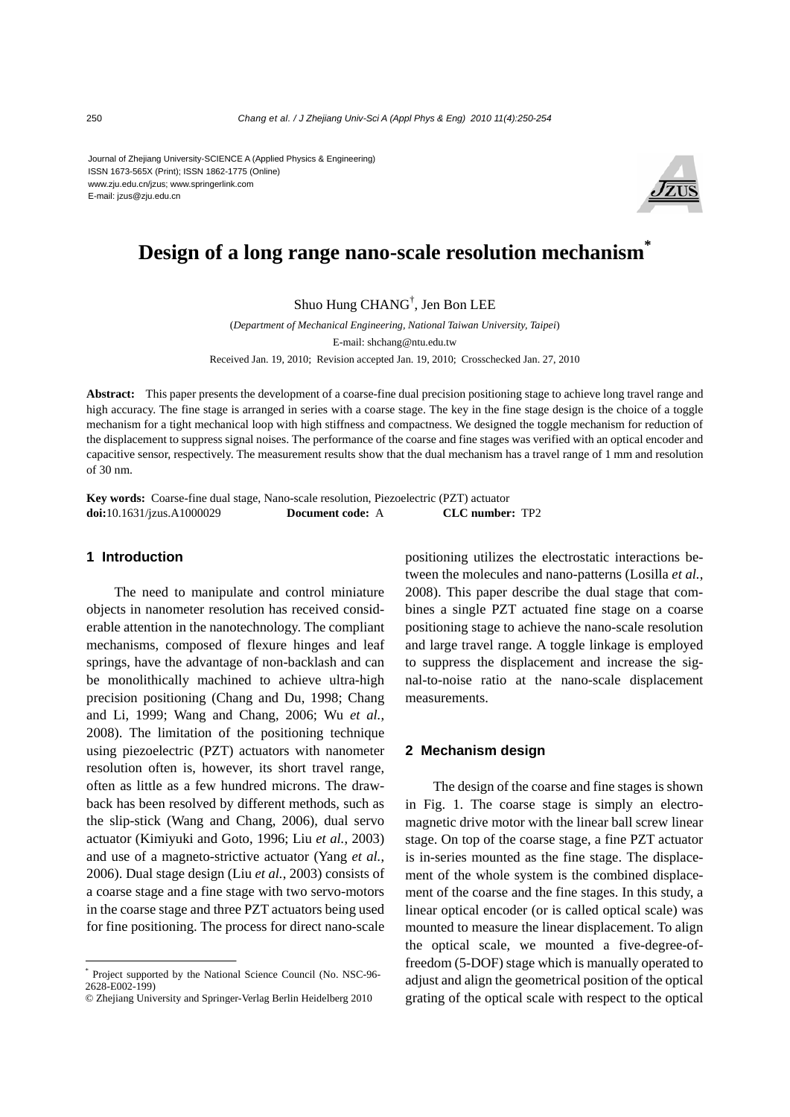Journal of Zhejiang University-SCIENCE A (Applied Physics & Engineering) ISSN 1673-565X (Print); ISSN 1862-1775 (Online) www.zju.edu.cn/jzus; www.springerlink.com E-mail: jzus@zju.edu.cn



# **Design of a long range nano-scale resolution mechanism<sup>\*</sup>**

## Shuo Hung CHANG† , Jen Bon LEE

(*Department of Mechanical Engineering, National Taiwan University, Taipei*) E-mail: shchang@ntu.edu.tw

Received Jan. 19, 2010; Revision accepted Jan. 19, 2010; Crosschecked Jan. 27, 2010

**Abstract:** This paper presents the development of a coarse-fine dual precision positioning stage to achieve long travel range and high accuracy. The fine stage is arranged in series with a coarse stage. The key in the fine stage design is the choice of a toggle mechanism for a tight mechanical loop with high stiffness and compactness. We designed the toggle mechanism for reduction of the displacement to suppress signal noises. The performance of the coarse and fine stages was verified with an optical encoder and capacitive sensor, respectively. The measurement results show that the dual mechanism has a travel range of 1 mm and resolution of 30 nm.

**Key words:** Coarse-fine dual stage, Nano-scale resolution, Piezoelectric (PZT) actuator **doi:**10.1631/jzus.A1000029 **Document code:** A **CLC number:** TP2

#### **1 Introduction**

The need to manipulate and control miniature objects in nanometer resolution has received considerable attention in the nanotechnology. The compliant mechanisms, composed of flexure hinges and leaf springs, have the advantage of non-backlash and can be monolithically machined to achieve ultra-high precision positioning (Chang and Du, 1998; Chang and Li, 1999; Wang and Chang, 2006; Wu *et al.*, 2008). The limitation of the positioning technique using piezoelectric (PZT) actuators with nanometer resolution often is, however, its short travel range, often as little as a few hundred microns. The drawback has been resolved by different methods, such as the slip-stick (Wang and Chang, 2006), dual servo actuator (Kimiyuki and Goto, 1996; Liu *et al.*, 2003) and use of a magneto-strictive actuator (Yang *et al.*, 2006). Dual stage design (Liu *et al.*, 2003) consists of a coarse stage and a fine stage with two servo-motors in the coarse stage and three PZT actuators being used for fine positioning. The process for direct nano-scale

positioning utilizes the electrostatic interactions between the molecules and nano-patterns (Losilla *et al.*, 2008). This paper describe the dual stage that combines a single PZT actuated fine stage on a coarse positioning stage to achieve the nano-scale resolution and large travel range. A toggle linkage is employed to suppress the displacement and increase the signal-to-noise ratio at the nano-scale displacement measurements.

#### **2 Mechanism design**

The design of the coarse and fine stages is shown in Fig. 1. The coarse stage is simply an electromagnetic drive motor with the linear ball screw linear stage. On top of the coarse stage, a fine PZT actuator is in-series mounted as the fine stage. The displacement of the whole system is the combined displacement of the coarse and the fine stages. In this study, a linear optical encoder (or is called optical scale) was mounted to measure the linear displacement. To align the optical scale, we mounted a five-degree-offreedom (5-DOF) stage which is manually operated to adjust and align the geometrical position of the optical grating of the optical scale with respect to the optical

<sup>\*</sup> Project supported by the National Science Council (No. NSC-96- 2628-E002-199)

<sup>©</sup> Zhejiang University and Springer-Verlag Berlin Heidelberg 2010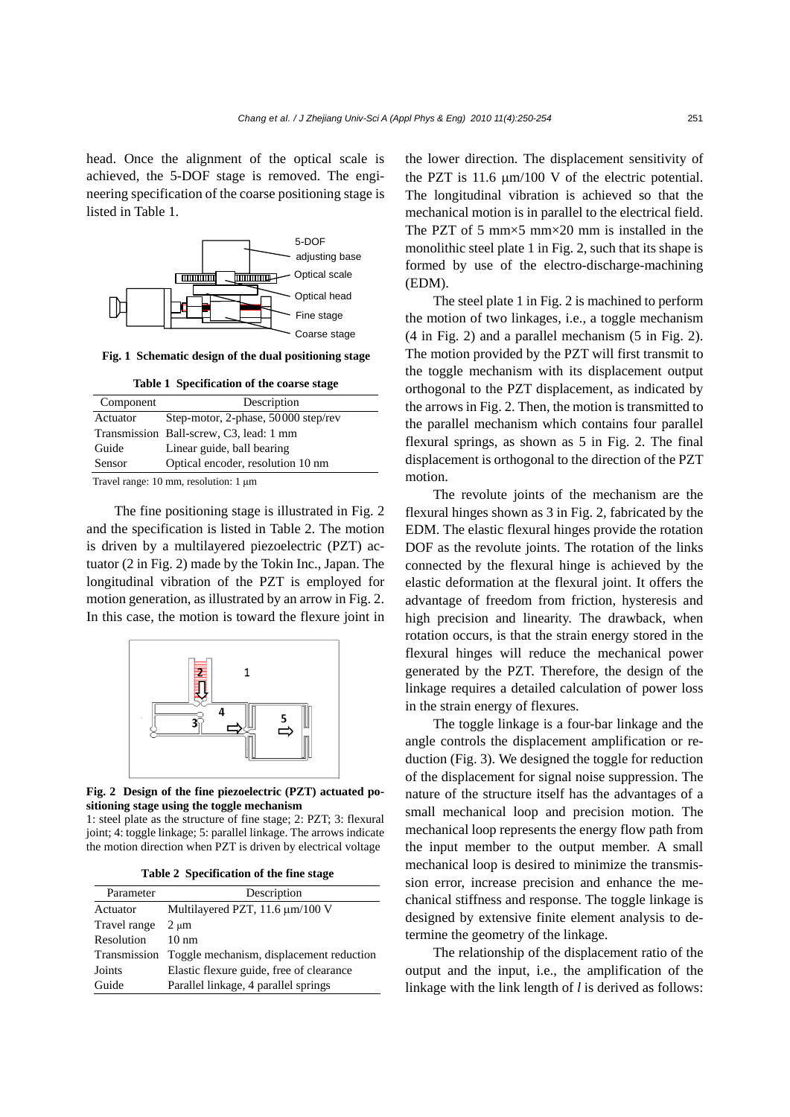head. Once the alignment of the optical scale is achieved, the 5-DOF stage is removed. The engineering specification of the coarse positioning stage is listed in Table 1.



**Fig. 1 Schematic design of the dual positioning stage**

|  | Table 1 Specification of the coarse stage |  |  |
|--|-------------------------------------------|--|--|
|--|-------------------------------------------|--|--|

| Component                                             | Description                             |  |
|-------------------------------------------------------|-----------------------------------------|--|
| Actuator                                              | Step-motor, 2-phase, 50000 step/rev     |  |
|                                                       | Transmission Ball-screw, C3, lead: 1 mm |  |
| Guide                                                 | Linear guide, ball bearing              |  |
| Sensor                                                | Optical encoder, resolution 10 nm       |  |
| Travel range: $10 \text{ mm}$ , resolution: $1 \mu m$ |                                         |  |

The fine positioning stage is illustrated in Fig. 2 and the specification is listed in Table 2. The motion is driven by a multilayered piezoelectric (PZT) actuator (2 in Fig. 2) made by the Tokin Inc., Japan. The longitudinal vibration of the PZT is employed for motion generation, as illustrated by an arrow in Fig. 2. In this case, the motion is toward the flexure joint in



**Fig. 2 Design of the fine piezoelectric (PZT) actuated positioning stage using the toggle mechanism** 

1: steel plate as the structure of fine stage; 2: PZT; 3: flexural joint; 4: toggle linkage; 5: parallel linkage. The arrows indicate the motion direction when PZT is driven by electrical voltage

**Table 2 Specification of the fine stage** 

| Parameter    | Description                                           |
|--------------|-------------------------------------------------------|
| Actuator     | Multilayered PZT, 11.6 µm/100 V                       |
| Travel range | $2 \mu m$                                             |
| Resolution   | $10 \text{ nm}$                                       |
|              | Transmission Toggle mechanism, displacement reduction |
| Joints       | Elastic flexure guide, free of clearance              |
| Guide        | Parallel linkage, 4 parallel springs                  |

the lower direction. The displacement sensitivity of the PZT is 11.6 μm/100 V of the electric potential. The longitudinal vibration is achieved so that the mechanical motion is in parallel to the electrical field. The PZT of 5 mm $\times$ 5 mm $\times$ 20 mm is installed in the monolithic steel plate 1 in Fig. 2, such that its shape is formed by use of the electro-discharge-machining (EDM).

The steel plate 1 in Fig. 2 is machined to perform the motion of two linkages, i.e., a toggle mechanism (4 in Fig. 2) and a parallel mechanism (5 in Fig. 2). The motion provided by the PZT will first transmit to the toggle mechanism with its displacement output orthogonal to the PZT displacement, as indicated by the arrows in Fig. 2. Then, the motion is transmitted to the parallel mechanism which contains four parallel flexural springs, as shown as 5 in Fig. 2. The final displacement is orthogonal to the direction of the PZT motion.

The revolute joints of the mechanism are the flexural hinges shown as 3 in Fig. 2, fabricated by the EDM. The elastic flexural hinges provide the rotation DOF as the revolute joints. The rotation of the links connected by the flexural hinge is achieved by the elastic deformation at the flexural joint. It offers the advantage of freedom from friction, hysteresis and high precision and linearity. The drawback, when rotation occurs, is that the strain energy stored in the flexural hinges will reduce the mechanical power generated by the PZT. Therefore, the design of the linkage requires a detailed calculation of power loss in the strain energy of flexures.

The toggle linkage is a four-bar linkage and the angle controls the displacement amplification or reduction (Fig. 3). We designed the toggle for reduction of the displacement for signal noise suppression. The nature of the structure itself has the advantages of a small mechanical loop and precision motion. The mechanical loop represents the energy flow path from the input member to the output member. A small mechanical loop is desired to minimize the transmission error, increase precision and enhance the mechanical stiffness and response. The toggle linkage is designed by extensive finite element analysis to determine the geometry of the linkage.

The relationship of the displacement ratio of the output and the input, i.e., the amplification of the linkage with the link length of *l* is derived as follows: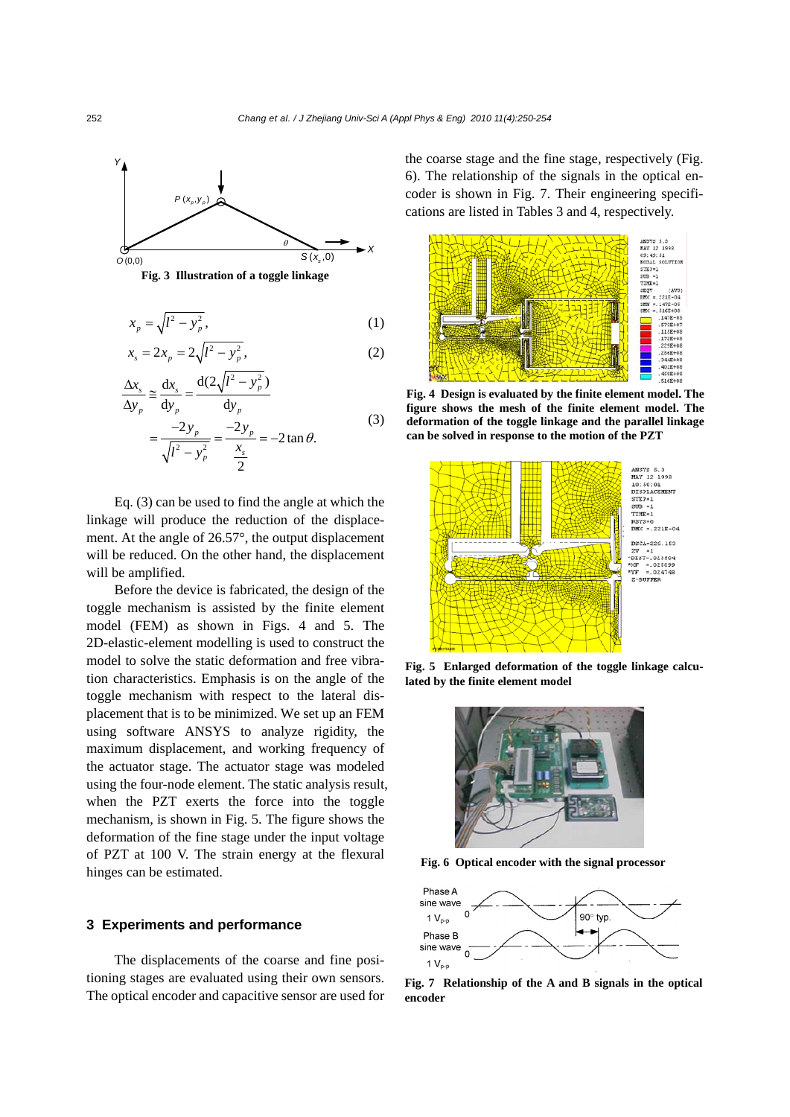



$$
x_p = \sqrt{l^2 - y_p^2},\tag{1}
$$

$$
x_s = 2x_p = 2\sqrt{l^2 - y_p^2},\tag{2}
$$

$$
\frac{\Delta x_s}{\Delta y_p} \approx \frac{dx_s}{dy_p} = \frac{d(2\sqrt{l^2 - y_p^2})}{dy_p} \n= \frac{-2y_p}{\sqrt{l^2 - y_p^2}} = \frac{-2y_p}{\frac{x_s}{2}} = -2 \tan \theta.
$$
\n(3)

Eq. (3) can be used to find the angle at which the linkage will produce the reduction of the displacement. At the angle of 26.57°, the output displacement will be reduced. On the other hand, the displacement will be amplified.

Before the device is fabricated, the design of the toggle mechanism is assisted by the finite element model (FEM) as shown in Figs. 4 and 5. The 2D-elastic-element modelling is used to construct the model to solve the static deformation and free vibration characteristics. Emphasis is on the angle of the toggle mechanism with respect to the lateral displacement that is to be minimized. We set up an FEM using software ANSYS to analyze rigidity, the maximum displacement, and working frequency of the actuator stage. The actuator stage was modeled using the four-node element. The static analysis result, when the PZT exerts the force into the toggle mechanism, is shown in Fig. 5. The figure shows the deformation of the fine stage under the input voltage of PZT at 100 V. The strain energy at the flexural hinges can be estimated.

#### **3 Experiments and performance**

The displacements of the coarse and fine positioning stages are evaluated using their own sensors. The optical encoder and capacitive sensor are used for the coarse stage and the fine stage, respectively (Fig. 6). The relationship of the signals in the optical encoder is shown in Fig. 7. Their engineering specifications are listed in Tables 3 and 4, respectively.



**Fig. 4 Design is evaluated by the finite element model. The figure shows the mesh of the finite element model. The deformation of the toggle linkage and the parallel linkage can be solved in response to the motion of the PZT** 



**Fig. 5 Enlarged deformation of the toggle linkage calculated by the finite element model** 



**Fig. 6 Optical encoder with the signal processor**



**Fig. 7 Relationship of the A and B signals in the optical encoder**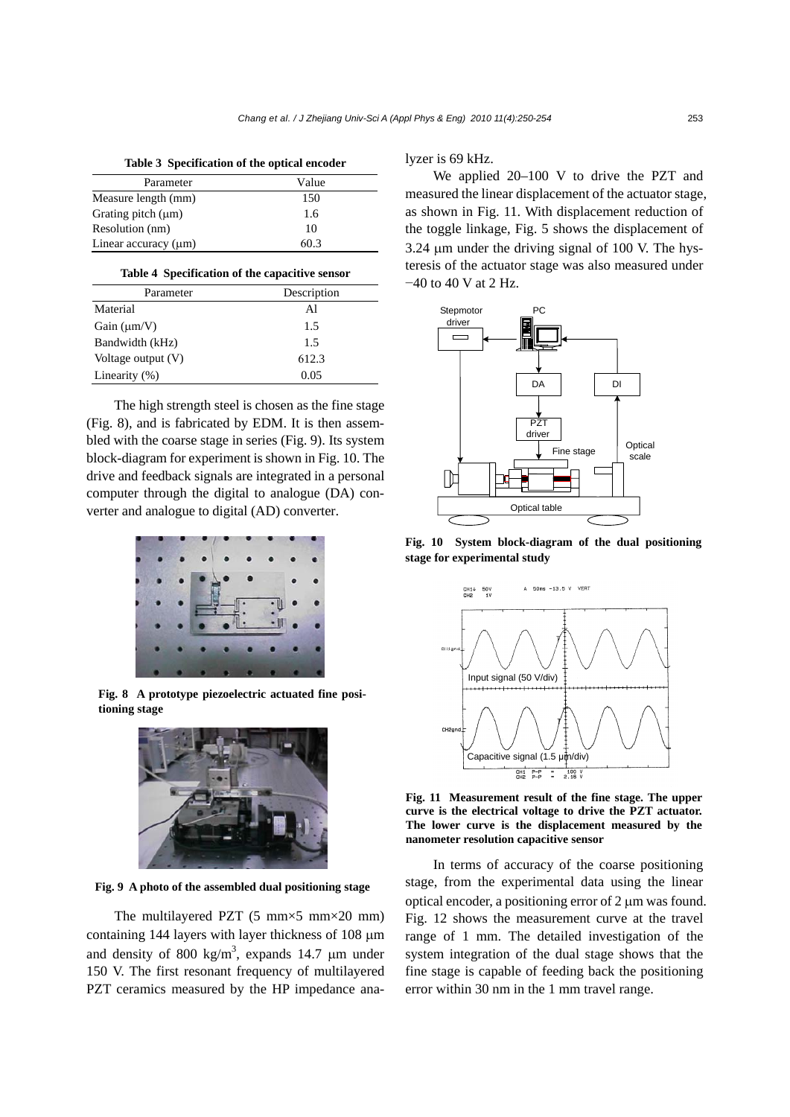**Table 3 Specification of the optical encoder** 

| Parameter                 | Value |
|---------------------------|-------|
| Measure length (mm)       | 150   |
| Grating pitch $(\mu m)$   | 1.6   |
| Resolution (nm)           | 10    |
| Linear accuracy $(\mu m)$ | 60.3  |

| Parameter            | Description |
|----------------------|-------------|
| Material             | Al          |
| Gain $(\mu m/V)$     | 1.5         |
| Bandwidth (kHz)      | 1.5         |
| Voltage output $(V)$ | 612.3       |
| Linearity $(\%)$     | 0.05        |

The high strength steel is chosen as the fine stage (Fig. 8), and is fabricated by EDM. It is then assembled with the coarse stage in series (Fig. 9). Its system block-diagram for experiment is shown in Fig. 10. The drive and feedback signals are integrated in a personal computer through the digital to analogue (DA) converter and analogue to digital (AD) converter.



**Fig. 8 A prototype piezoelectric actuated fine positioning stage** 



**Fig. 9 A photo of the assembled dual positioning stage**

The multilayered PZT  $(5 \text{ mm} \times 5 \text{ mm} \times 20 \text{ mm})$ containing 144 layers with layer thickness of 108 μm and density of 800 kg/m<sup>3</sup>, expands 14.7  $\mu$ m under 150 V. The first resonant frequency of multilayered PZT ceramics measured by the HP impedance analyzer is 69 kHz.

We applied 20–100 V to drive the PZT and measured the linear displacement of the actuator stage, as shown in Fig. 11. With displacement reduction of the toggle linkage, Fig. 5 shows the displacement of 3.24 μm under the driving signal of 100 V. The hysteresis of the actuator stage was also measured under −40 to 40 V at 2 Hz.



**Fig. 10 System block-diagram of the dual positioning stage for experimental study** 



**Fig. 11 Measurement result of the fine stage. The upper curve is the electrical voltage to drive the PZT actuator. The lower curve is the displacement measured by the nanometer resolution capacitive sensor** 

In terms of accuracy of the coarse positioning stage, from the experimental data using the linear optical encoder, a positioning error of 2 μm was found. Fig. 12 shows the measurement curve at the travel range of 1 mm. The detailed investigation of the system integration of the dual stage shows that the fine stage is capable of feeding back the positioning error within 30 nm in the 1 mm travel range.